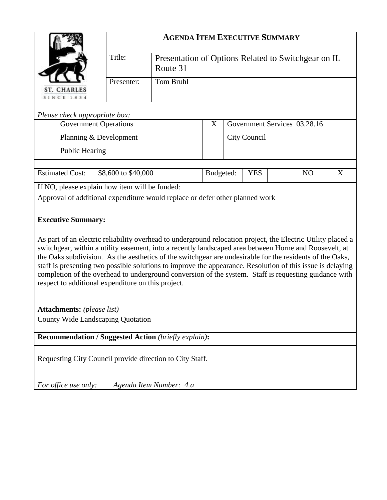|                                                                                                                                                                                                                                                                                                                                                                                                                                                                                                                                                                                                                 | <b>AGENDA ITEM EXECUTIVE SUMMARY</b> |                                                                 |           |                                   |  |  |  |  |  |  |
|-----------------------------------------------------------------------------------------------------------------------------------------------------------------------------------------------------------------------------------------------------------------------------------------------------------------------------------------------------------------------------------------------------------------------------------------------------------------------------------------------------------------------------------------------------------------------------------------------------------------|--------------------------------------|-----------------------------------------------------------------|-----------|-----------------------------------|--|--|--|--|--|--|
|                                                                                                                                                                                                                                                                                                                                                                                                                                                                                                                                                                                                                 | Title:                               | Presentation of Options Related to Switchgear on IL<br>Route 31 |           |                                   |  |  |  |  |  |  |
| ST. CHARLES<br><b>SINCE 1834</b>                                                                                                                                                                                                                                                                                                                                                                                                                                                                                                                                                                                | Presenter:                           | <b>Tom Bruhl</b>                                                |           |                                   |  |  |  |  |  |  |
| Please check appropriate box:                                                                                                                                                                                                                                                                                                                                                                                                                                                                                                                                                                                   |                                      |                                                                 |           |                                   |  |  |  |  |  |  |
| <b>Government Operations</b>                                                                                                                                                                                                                                                                                                                                                                                                                                                                                                                                                                                    |                                      |                                                                 | X         | Government Services 03.28.16      |  |  |  |  |  |  |
| Planning & Development                                                                                                                                                                                                                                                                                                                                                                                                                                                                                                                                                                                          |                                      |                                                                 |           | City Council                      |  |  |  |  |  |  |
| <b>Public Hearing</b>                                                                                                                                                                                                                                                                                                                                                                                                                                                                                                                                                                                           |                                      |                                                                 |           |                                   |  |  |  |  |  |  |
| <b>Estimated Cost:</b><br>\$8,600 to \$40,000                                                                                                                                                                                                                                                                                                                                                                                                                                                                                                                                                                   |                                      |                                                                 | Budgeted: | <b>YES</b><br>N <sub>O</sub><br>X |  |  |  |  |  |  |
| If NO, please explain how item will be funded:                                                                                                                                                                                                                                                                                                                                                                                                                                                                                                                                                                  |                                      |                                                                 |           |                                   |  |  |  |  |  |  |
| Approval of additional expenditure would replace or defer other planned work                                                                                                                                                                                                                                                                                                                                                                                                                                                                                                                                    |                                      |                                                                 |           |                                   |  |  |  |  |  |  |
| <b>Executive Summary:</b>                                                                                                                                                                                                                                                                                                                                                                                                                                                                                                                                                                                       |                                      |                                                                 |           |                                   |  |  |  |  |  |  |
| As part of an electric reliability overhead to underground relocation project, the Electric Utility placed a<br>switchgear, within a utility easement, into a recently landscaped area between Horne and Roosevelt, at<br>the Oaks subdivision. As the aesthetics of the switchgear are undesirable for the residents of the Oaks,<br>staff is presenting two possible solutions to improve the appearance. Resolution of this issue is delaying<br>completion of the overhead to underground conversion of the system. Staff is requesting guidance with<br>respect to additional expenditure on this project. |                                      |                                                                 |           |                                   |  |  |  |  |  |  |
| <b>Attachments:</b> (please list)                                                                                                                                                                                                                                                                                                                                                                                                                                                                                                                                                                               |                                      |                                                                 |           |                                   |  |  |  |  |  |  |
| County Wide Landscaping Quotation                                                                                                                                                                                                                                                                                                                                                                                                                                                                                                                                                                               |                                      |                                                                 |           |                                   |  |  |  |  |  |  |
| <b>Recommendation / Suggested Action (briefly explain):</b>                                                                                                                                                                                                                                                                                                                                                                                                                                                                                                                                                     |                                      |                                                                 |           |                                   |  |  |  |  |  |  |
| Requesting City Council provide direction to City Staff.                                                                                                                                                                                                                                                                                                                                                                                                                                                                                                                                                        |                                      |                                                                 |           |                                   |  |  |  |  |  |  |
| For office use only:                                                                                                                                                                                                                                                                                                                                                                                                                                                                                                                                                                                            |                                      | Agenda Item Number: 4.a                                         |           |                                   |  |  |  |  |  |  |